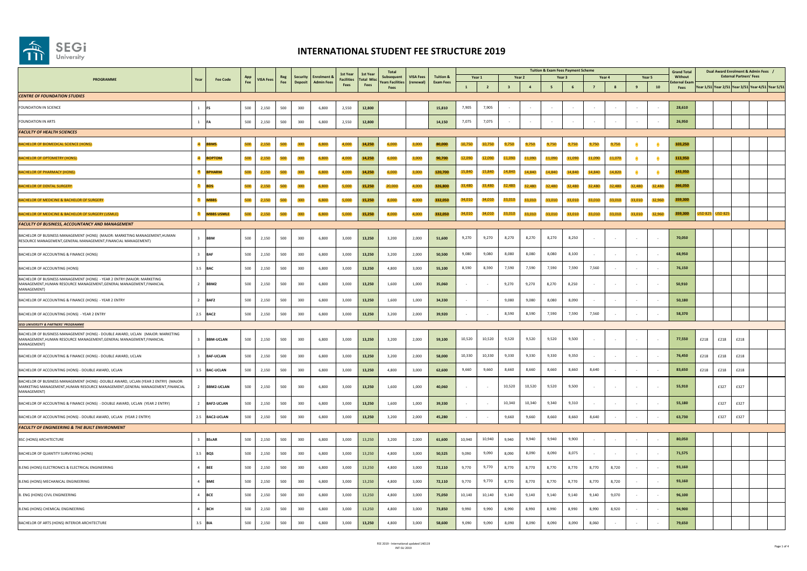

|                                                                                                                                                                                  | Year           |                   |            |                 |            |                     |                                             | 1st Year                  | 1st Year                 | Total                                 |                               |                                          |              |                          |                         |                          | <b>Tuition &amp; Exam Fees Payment Scheme</b> |                   |                |             |                |              | <b>Grand Total</b>      |      | Dual Award Enrolment & Admin Fees                 |                                |  |
|----------------------------------------------------------------------------------------------------------------------------------------------------------------------------------|----------------|-------------------|------------|-----------------|------------|---------------------|---------------------------------------------|---------------------------|--------------------------|---------------------------------------|-------------------------------|------------------------------------------|--------------|--------------------------|-------------------------|--------------------------|-----------------------------------------------|-------------------|----------------|-------------|----------------|--------------|-------------------------|------|---------------------------------------------------|--------------------------------|--|
| PROGRAMME                                                                                                                                                                        |                | <b>Fee Code</b>   | App<br>Fee | <b>VISA Fee</b> | Reg<br>Fee | Security<br>Deposit | <b>Enrolment &amp;</b><br><b>Admin Fees</b> | <b>Facilities</b><br>Fees | <b>Total Mis</b><br>Fees | Subsequent<br><b>Years Facilities</b> | <b>VISA Fees</b><br>(renewal) | <b>Tuition &amp;</b><br><b>Exam Fees</b> | $\mathbf{1}$ | Year 1<br>$\overline{2}$ | $\overline{\mathbf{3}}$ | Year 2<br>$\overline{a}$ | 5                                             | Year <sub>3</sub> | $\overline{7}$ | Year 4<br>8 | $\overline{9}$ | Year 5<br>10 | Without<br>xternal Exar |      | Year 1/51 Year 2/51 Year 3/51 Year 4/51 Year 5/51 | <b>External Partners' Fees</b> |  |
| <b>CENTRE OF FOUNDATION STUDIES</b>                                                                                                                                              |                |                   |            |                 |            |                     |                                             |                           |                          | Fees                                  |                               |                                          |              |                          |                         |                          |                                               |                   |                |             |                |              | Fees                    |      |                                                   |                                |  |
| FOUNDATION IN SCIENCE                                                                                                                                                            | $1$ FS         |                   | 500        | 2,150           | 500        | 300                 | 6,800                                       | 2,550                     | 12,800                   |                                       |                               | 15,810                                   | 7,905        | 7,905                    |                         |                          |                                               |                   |                |             |                |              | 28,610                  |      |                                                   |                                |  |
| FOUNDATION IN ARTS                                                                                                                                                               | 1              |                   | 500        | 2,150           | 500        | 300                 | 6,800                                       | 2,550                     | 12,800                   |                                       |                               | 14,150                                   | 7,075        | 7,075                    |                         |                          |                                               |                   |                |             |                |              | 26,950                  |      |                                                   |                                |  |
| <b>FACULTY OF HEALTH SCIENCES</b>                                                                                                                                                |                |                   |            |                 |            |                     |                                             |                           |                          |                                       |                               |                                          |              |                          |                         |                          |                                               |                   |                |             |                |              |                         |      |                                                   |                                |  |
| BACHELOR OF BIOMEDICAL SCIENCE (HONS)                                                                                                                                            | $\overline{a}$ | <b>BMS</b>        | 500        | 2,150           | 500        | 300                 | 6.800                                       | 4,000                     | 14,250                   | 6.000                                 | 3,000                         | 80,000                                   | 10,750       | 10.750                   | 9,750                   | 9.750                    | 9,750                                         | 9.750             | 9.750          | 9,750       |                |              | 103,250                 |      |                                                   |                                |  |
| <b>BACHELOR OF OPTOMETRY (HONS)</b>                                                                                                                                              | $\overline{a}$ | <b>BOPTOM</b>     | 500        | 2,150           | 500        | 300                 | 6,800                                       | 4,000                     | 14,250                   | 6,000                                 | 3,000                         | 90,700                                   | 12,090       | 12,090                   | 11,090                  | 11,090                   | 11,090                                        | 11,090            | 11,090         | 11,070      | $\bullet$      | - 8          | 113,950                 |      |                                                   |                                |  |
| <b>BACHELOR OF PHARMACY (HONS)</b>                                                                                                                                               | $\overline{a}$ | PHARM             | 500        | 2,150           | 500        | 300                 | 6,800                                       | 4,000                     | 14,250                   | 6,000                                 | 3,000                         | 120,700                                  | 15,840       | 15,840                   | 14,840                  | 14,840                   | 14,840                                        | 14,840            | 14,840         | 14,820      | $\epsilon$     | - 8          | 143,950                 |      |                                                   |                                |  |
| <b>BACHELOR OF DENTAL SURGERY</b>                                                                                                                                                | 5              | <b>BDS</b>        | 500        | 2,150           | 500        | 300                 | 6,800                                       | 5,000                     | 15,250                   | 20,000                                | 4,000                         | 326,800                                  | 33,480       | 33,480                   | 32,480                  | 32,480                   | 32,480                                        | 32,480            | 32,480         | 32,480      | 32,480         | 32,480       | 366,050                 |      |                                                   |                                |  |
| <b>BACHELOR OF MEDICINE &amp; BACHELOR OF SURGERY</b>                                                                                                                            | 5              | <b>MBBS</b>       | 500        | 2,150           | 500        | 300                 | 6,800                                       | 5,000                     | 15,250                   | 8,000                                 | 4,000                         | 332,050                                  | 34,010       | 34,010                   | 33,010                  | 33,010                   | 33,010                                        | 33,010            | 33,010         | 33,010      | 33,010         | 32,960       | 359,300                 |      |                                                   |                                |  |
| BACHELOR OF MEDICINE & BACHELOR OF SURGERY (USMLE)                                                                                                                               | 5 <sub>1</sub> | <b>MBBS USMLE</b> | 500        | 2,150           | 500        | 300                 | 6,800                                       | 5,000                     | 15,250                   | 8,000                                 | 4,000                         | 332,050                                  | 34,010       | 34,010                   | 33,010                  | 33,010                   | 33,010                                        | 33,010            | 33,010         | 33,010      | 33,010         | 32,960       | 359,300                 |      | USD 825 USD 825                                   |                                |  |
| <b>FACULTY OF BUSINESS, ACCOUNTANCY AND MANAGEMENT</b>                                                                                                                           |                |                   |            |                 |            |                     |                                             |                           |                          |                                       |                               |                                          |              |                          |                         |                          |                                               |                   |                |             |                |              |                         |      |                                                   |                                |  |
| BACHELOR OF BUSINESS MANAGEMENT (HONS) (MAJOR: MARKETING MANAGEMENT, HUMAN<br>RESOURCE MANAGEMENT, GENERAL MANAGEMENT, FINANCIAL MANAGEMENT)                                     |                | 3 BBM             | 500        | 2,150           | 500        | 300                 | 6,800                                       | 3.000                     | 13,250                   | 3.200                                 | 2,000                         | 51,600                                   | 9,270        | 9,270                    | 8,270                   | 8,270                    | 8.270                                         | 8.250             |                |             |                |              | 70,050                  |      |                                                   |                                |  |
| BACHELOR OF ACCOUNTING & FINANCE (HONS)                                                                                                                                          | $3 -$          | <b>BAF</b>        | 500        | 2,150           | 500        | 300                 | 6,800                                       | 3,000                     | 13,250                   | 3,200                                 | 2,000                         | 50,500                                   | 9,080        | 9,080                    | 8,080                   | 8,080                    | 8,080                                         | 8,100             |                |             |                |              | 68,950                  |      |                                                   |                                |  |
| BACHELOR OF ACCOUNTING (HONS)                                                                                                                                                    |                | 3.5 BAC           | 500        | 2,150           | 500        | 300                 | 6,800                                       | 3,000                     | 13,250                   | 4,800                                 | 3,000                         | 55,100                                   | 8,590        | 8,590                    | 7,590                   | 7,590                    | 7,590                                         | 7,590             | 7,560          |             |                |              | 76,150                  |      |                                                   |                                |  |
| BACHELOR OF BUSINESS MANAGEMENT (HONS) - YEAR 2 ENTRY (MAJOR: MARKETING<br>MANAGEMENT, HUMAN RESOURCE MANAGEMENT, GENERAL MANAGEMENT, FINANCIAL<br><b>MANAGEMENT</b>             |                | 2 BBM2            | 500        | 2.150           | 500        | 300                 | 6,800                                       | 3.000                     | 13,250                   | 1.600                                 | 1.000                         | 35,060                                   |              |                          | 9,270                   | 9,270                    | 8,270                                         | 8,250             |                |             |                |              | 50,910                  |      |                                                   |                                |  |
| BACHELOR OF ACCOUNTING & FINANCE (HONS) - YEAR 2 ENTRY                                                                                                                           |                | 2 BAF2            | 500        | 2,150           | 500        | 300                 | 6,800                                       | 3,000                     | 13,250                   | 1,600                                 | 1,000                         | 34,330                                   |              |                          | 9,080                   | 9,080                    | 8,080                                         | 8,090             |                |             |                |              | 50,180                  |      |                                                   |                                |  |
| BACHELOR OF ACCOUNTING (HONS) - YEAR 2 ENTRY                                                                                                                                     |                | 2.5 BAC2          | 500        | 2,150           | 500        | 300                 | 6,800                                       | 3,000                     | 13,250                   | 3,200                                 | 2,000                         | 39,920                                   |              |                          | 8.590                   | 8.590                    | 7,590                                         | 7.590             | 7.560          |             |                |              | 58,370                  |      |                                                   |                                |  |
| <b>SEGI UNIVERSITY &amp; PARTNERS' PROGRAMME</b>                                                                                                                                 |                |                   |            |                 |            |                     |                                             |                           |                          |                                       |                               |                                          |              |                          |                         |                          |                                               |                   |                |             |                |              |                         |      |                                                   |                                |  |
| BACHELOR OF BUSINESS MANAGEMENT (HONS) - DOUBLE AWARD, UCLAN (MAJOR; MARKETING<br>MANAGEMENT,HUMAN RESOURCE MANAGEMENT,GENERAL MANAGEMENT,FINANCIAL<br><b>MANAGEMENT</b>         | $\overline{3}$ | <b>BBM-UCLAN</b>  | 500        | 2,150           | 500        | 300                 | 6,800                                       | 3,000                     | 13,250                   | 3.200                                 | 2,000                         | 59,100                                   | 10,520       | 10,520                   | 9,520                   | 9,520                    | 9,520                                         | 9,500             |                |             |                |              | 77,550                  | £218 | £218                                              | £218                           |  |
| BACHELOR OF ACCOUNTING & FINANCE (HONS) - DOUBLE AWARD, UCLAN                                                                                                                    | $\mathbf{R}$   | <b>BAF-UCLAN</b>  | 500        | 2,150           | 500        | 300                 | 6,800                                       | 3,000                     | 13,250                   | 3,200                                 | 2,000                         | 58,000                                   | 10,330       | 10,330                   | 9,330                   | 9,330                    | 9,330                                         | 9.350             |                |             |                |              | 76,450                  | £218 | £218                                              | £218                           |  |
| BACHELOR OF ACCOUNTING (HONS) - DOUBLE AWARD, UCLAN                                                                                                                              |                | 3.5 BAC-UCLAN     | 500        | 2,150           | 500        | 300                 | 6,800                                       | 3,000                     | 13,250                   | 4,800                                 | 3,000                         | 62,600                                   | 9,660        | 9,660                    | 8,660                   | 8,660                    | 8,660                                         | 8,660             | 8.640          |             |                |              | 83,650                  | £218 | £218                                              | £218                           |  |
| BACHELOR OF BUSINESS MANAGEMENT (HONS) -DOUBLE AWARD, UCLAN (YEAR 2 ENTRY) (MAJOR:<br>MARKETING MANAGEMENT.HUMAN RESOURCE MANAGEMENT.GENERAL MANAGEMENT.FINANCIAL<br>MANAGEMENT) | $\overline{2}$ | BBM2-UCLAN        | 500        | 2.150           | 500        | 300                 | 6.800                                       | 3.000                     | 13,250                   | 1.600                                 | 1.000                         | 40.060                                   |              |                          | 10.520                  | 10,520                   | 9.520                                         | 9.500             |                |             |                |              | 55,910                  |      | £327                                              | £327                           |  |
| BACHELOR OF ACCOUNTING & FINANCE (HONS) - DOUBLE AWARD, UCLAN (YEAR 2 ENTRY)                                                                                                     | $\overline{2}$ | <b>BAF2-UCLAN</b> | 500        | 2,150           | 500        | 300                 | 6,800                                       | 3,000                     | 13,250                   | 1,600                                 | 1,000                         | 39.330                                   |              |                          | 10,340                  | 10,340                   | 9,340                                         | 9,310             |                |             |                |              | 55,180                  |      | £327                                              | £327                           |  |
| BACHELOR OF ACCOUNTING (HONS) - DOUBLE AWARD, UCLAN (YEAR 2 ENTRY)                                                                                                               |                | 2.5 BAC2-UCLAN    | 500        | 2,150           | 500        | 300                 | 6,800                                       | 3,000                     | 13,250                   | 3,200                                 | 2,000                         | 45.280                                   |              |                          | 9,660                   | 9,660                    | 8,660                                         | 8,660             | 8,640          | $\sim$      | $\sim$         | $\sim$       | 63,730                  |      | £327                                              | £327                           |  |
| <b>FACULTY OF ENGINEERING &amp; THE BUILT ENVIRONMENT</b>                                                                                                                        |                |                   |            |                 |            |                     |                                             |                           |                          |                                       |                               |                                          |              |                          |                         |                          |                                               |                   |                |             |                |              |                         |      |                                                   |                                |  |
| <b>BSC (HONS) ARCHITECTURE</b>                                                                                                                                                   |                | <b>BScAR</b>      | 500        | 2,150           | 500        | 300                 | 6,800                                       | 3,000                     | 13,250                   | 3,200                                 | 2,000                         | 61,600                                   | 10,940       | 10,940                   | 9,940                   | 9,940                    | 9,940                                         | 9,900             |                |             |                |              | 80,050                  |      |                                                   |                                |  |
| BACHELOR OF QUANTITY SURVEYING (HONS)                                                                                                                                            |                | $3.5$ BQS         | 500        | 2,150           | 500        | 300                 | 6,800                                       | 3.000                     | 13,250                   | 4,800                                 | 3,000                         | 50,525                                   | 9,090        | 9,090                    | 8,090                   | 8,090                    | 8,090                                         | 8,075             |                |             |                |              | 71,575                  |      |                                                   |                                |  |
| B.ENG (HONS) ELECTRONICS & ELECTRICAL ENGINEERING                                                                                                                                |                | 4 BEE             | 500        | 2,150           | 500        | 300                 | 6,800                                       | 3,000                     | 13,250                   | 4,800                                 | 3,000                         | 72,110                                   | 9,770        | 9,770                    | 8,770                   | 8,770                    | 8,770                                         | 8,770             | 8,770          | 8,720       |                |              | 93,160                  |      |                                                   |                                |  |
| B.ENG (HONS) MECHANICAL ENGINEERING                                                                                                                                              |                | 4 BME             | 500        | 2,150           | 500        | 300                 | 6,800                                       | 3,000                     | 13,250                   | 4,800                                 | 3,000                         | 72,110                                   | 9,770        | 9,770                    | 8,770                   | 8,770                    | 8,770                                         | 8,770             | 8,770          | 8,720       |                |              | 93,160                  |      |                                                   |                                |  |
| B. ENG (HONS) CIVIL ENGINEERING                                                                                                                                                  | 4              | <b>BCE</b>        | 500        | 2,150           | 500        | 300                 | 6,800                                       | 3,000                     | 13,250                   | 4,800                                 | 3,000                         | 75,050                                   | 10,140       | 10,140                   | 9,140                   | 9,140                    | 9,140                                         | 9,140             | 9,140          | 9,070       |                |              | 96,100                  |      |                                                   |                                |  |
| <b>B.ENG (HONS) CHEMICAL ENGINEERING</b>                                                                                                                                         |                | <b>BCH</b>        | 500        | 2,150           | 500        | 300                 | 6,800                                       | 3.000                     | 13,250                   | 4,800                                 | 3,000                         | 73,850                                   | 9,990        | 9,990                    | 8,990                   | 8,990                    | 8,990                                         | 8.990             | 8.990          | 8,920       |                |              | 94,900                  |      |                                                   |                                |  |
| BACHELOR OF ARTS (HONS) INTERIOR ARCHITECTURE                                                                                                                                    |                | 3.5 BIA           | 500        | 2,150           | 500        | 300                 | 6,800                                       | 3,000                     | 13,250                   | 4,800                                 | 3,000                         | 58,600                                   | 9,090        | 9,090                    | 8,090                   | 8,090                    | 8,090                                         | 8,090             | 8,060          |             |                |              | 79,650                  |      |                                                   |                                |  |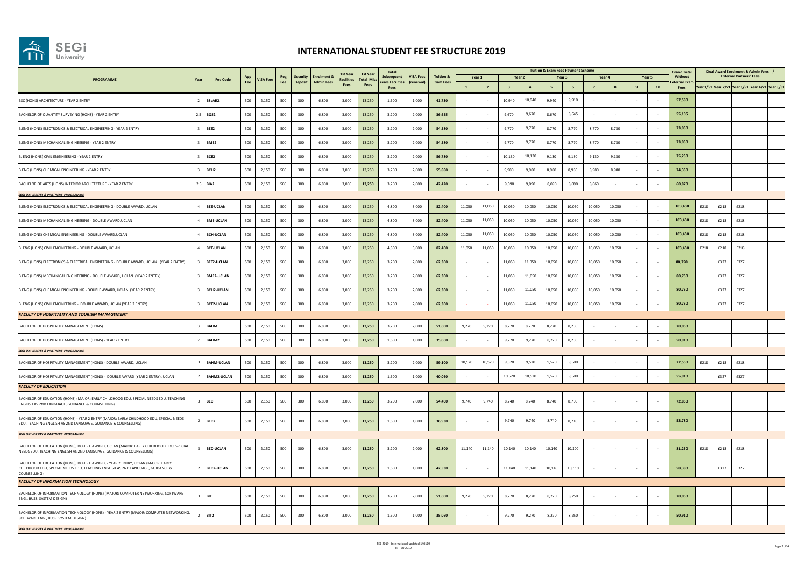

|                                                                                                                                                                                   |                         |                    |     |                  |            |                                   |                                             | 1st Year                  | 1st Year                 | Total<br>Subsequent | <b>VISA Fees</b> |                               |        |                         |                         |                   |        | <b>Tuition &amp; Exam Fees Payment Scheme</b> |        |        |                          |            | <b>Grand Total</b>             | Dual Award Enrolment & Admin Fees /               |
|-----------------------------------------------------------------------------------------------------------------------------------------------------------------------------------|-------------------------|--------------------|-----|------------------|------------|-----------------------------------|---------------------------------------------|---------------------------|--------------------------|---------------------|------------------|-------------------------------|--------|-------------------------|-------------------------|-------------------|--------|-----------------------------------------------|--------|--------|--------------------------|------------|--------------------------------|---------------------------------------------------|
| PROGRAMME                                                                                                                                                                         | Year                    | <b>Fee Code</b>    | App | <b>VISA Fee:</b> | Reg<br>Fee | <b>Security</b><br><b>Deposit</b> | <b>Enrolment &amp;</b><br><b>Admin Fees</b> | <b>Facilities</b><br>Fees | <b>Total Mis</b><br>Fees | rears Facilities    | (renewal)        | Tuition &<br><b>Exam Fees</b> |        | Year 1                  |                         | Year <sub>2</sub> |        | Year <sub>3</sub>                             |        | Year 4 |                          | Year 5     | Without<br><b>cternal Exar</b> | <b>External Partners' Fees</b>                    |
|                                                                                                                                                                                   |                         |                    |     |                  |            |                                   |                                             |                           |                          | Fees                |                  |                               |        | $\overline{\mathbf{2}}$ | $\overline{\mathbf{3}}$ | $\boldsymbol{4}$  | 5      |                                               |        | 8      |                          | ${\bf 10}$ | Fees                           | Year 1/51 Year 2/51 Year 3/51 Year 4/51 Year 5/51 |
| BSC (HONS) ARCHITECTURE - YEAR 2 ENTRY                                                                                                                                            |                         | 2 BScAR2           | 500 | 2,150            | 500        | 300                               | 6,800                                       | 3.000                     | 13,250                   | 1,600               | 1.000            | 41.730                        |        |                         | 10,940                  | 10,940            | 9.940  | 9.910                                         |        |        |                          |            | 57.580                         |                                                   |
| BACHELOR OF QUANTITY SURVEYING (HONS) - YEAR 2 ENTRY                                                                                                                              |                         | 2.5 BOS2           | 500 | 2,150            | 500        | 300                               | 6,800                                       | 3,000                     | 13.250                   | 3.200               | 2,000            | 36,655                        |        |                         | 9,670                   | 9,670             | 8,670  | 8.645                                         |        |        |                          |            | 55.105                         |                                                   |
| B.ENG (HONS) ELECTRONICS & ELECTRICAL ENGINEERING - YEAR 2 ENTRY                                                                                                                  |                         | 3 BFF2             | 500 | 2.150            | 500        | 300                               | 6.800                                       | 3.000                     | 13.250                   | 3.200               | 2.000            | 54,580                        |        |                         | 9,770                   | 9,770             | 8.770  | 8.770                                         | 8.770  | 8.730  |                          |            | 73,030                         |                                                   |
| B.ENG (HONS) MECHANICAL ENGINEERING - YEAR 2 ENTRY                                                                                                                                |                         | 3 BMF2             | 500 | 2.150            | 500        | 300                               | 6.800                                       | 3.000                     | 13,250                   | 3.200               | 2.000            | 54.580                        |        |                         | 9,770                   | 9,770             | 8.770  | 8.770                                         | 8,770  | 8.730  |                          | $\sim$     | 73,030                         |                                                   |
| 3. ENG (HONS) CIVIL ENGINEERING - YEAR 2 ENTRY                                                                                                                                    | $\mathbf{R}$            | BCE <sub>2</sub>   | 500 | 2.150            | 500        | 300                               | 6.800                                       | 3.000                     | 13.250                   | 3.200               | 2.000            | 56.780                        |        |                         | 10,130                  | 10.130            | 9.130  | 9,130                                         | 9,130  | 9.130  |                          |            | 75.230                         |                                                   |
| B.ENG (HONS) CHEMICAL ENGINEERING - YEAR 2 ENTRY                                                                                                                                  | $\mathbf{R}$            | BCH <sub>2</sub>   | 500 | 2,150            | 500        | 300                               | 6,800                                       | 3.000                     | 13,250                   | 3.200               | 2.000            | 55,880                        |        |                         | 9.980                   | 9,980             | 8.980  | 8,980                                         | 8.980  | 8,980  |                          |            | 74,330                         |                                                   |
| BACHELOR OF ARTS (HONS) INTERIOR ARCHITECTURE - YEAR 2 ENTRY                                                                                                                      |                         | $2.5$ BIA2         | 500 | 2,150            | 500        | 300                               | 6,800                                       | 3,000                     | 13,250                   | 3,200               | 2.000            | 42,420                        |        |                         | 9,090                   | 9,090             | 8,090  | 8,090                                         | 8,060  |        |                          |            | 60,870                         |                                                   |
| <b>SEGI UNIVERSITY &amp; PARTNERS' PROGRAMME</b>                                                                                                                                  |                         |                    |     |                  |            |                                   |                                             |                           |                          |                     |                  |                               |        |                         |                         |                   |        |                                               |        |        |                          |            |                                |                                                   |
| B.ENG (HONS) ELECTRONICS & ELECTRICAL ENGINEERING - DOUBLE AWARD, UCLAN                                                                                                           | $\mathfrak{a}$          | <b>BEE-UCLAN</b>   | 500 | 2.150            | 500        | 300                               | 6,800                                       | 3.000                     | 13,250                   | 4.800               | 3,000            | 82,400                        | 11.050 | 11,050                  | 10.050                  | 10.050            | 10.050 | 10.050                                        | 10.050 | 10.050 |                          |            | 103,450                        | £218<br>£218<br>£218                              |
| B.ENG (HONS) MECHANICAL ENGINEERING - DOUBLE AWARD, UCLAN                                                                                                                         | $\mathbf{d}$            | <b>BME-UCLAN</b>   | 500 | 2,150            | 500        | 300                               | 6,800                                       | 3,000                     | 13,250                   | 4,800               | 3,000            | 82,400                        | 11,050 | 11,050                  | 10,050                  | 10,050            | 10,050 | 10,050                                        | 10,050 | 10.050 |                          |            | 103,450                        | £218<br>£218<br>£218                              |
| B.ENG (HONS) CHEMICAL ENGINEERING - DOUBLE AWARD, UCLAN                                                                                                                           | $\mathfrak{a}$          | <b>BCH-UCLAN</b>   | 500 | 2,150            | 500        | 300                               | 6,800                                       | 3,000                     | 13,250                   | 4,800               | 3,000            | 82,400                        | 11,050 | 11,050                  | 10,050                  | 10,050            | 10,050 | 10,050                                        | 10,050 | 10.050 |                          |            | 103,450                        | £218<br>£218<br>£218                              |
| B. ENG (HONS) CIVIL ENGINEERING - DOUBLE AWARD, UCLAN                                                                                                                             | $\mathfrak{a}$          | <b>BCE-UCLAN</b>   | 500 | 2,150            | 500        | 300                               | 6,800                                       | 3,000                     | 13,250                   | 4,800               | 3,000            | 82,400                        | 11,050 | 11,050                  | 10,050                  | 10,050            | 10,050 | 10,050                                        | 10,050 | 10,050 |                          | $\sim$     | 103,450                        | £218<br>£218<br>£218                              |
| B.ENG (HONS) ELECTRONICS & ELECTRICAL ENGINEERING - DOUBLE AWARD, UCLAN (YEAR 2 ENTRY)                                                                                            | $\overline{\mathbf{3}}$ | BEE2-UCLAN         | 500 | 2.150            | 500        | 300                               | 6,800                                       | 3.000                     | 13,250                   | 3.200               | 2.000            | 62,300                        |        |                         | 11.050                  | 11.050            | 10.050 | 10.050                                        | 10.050 | 10.050 |                          |            | 80.750                         | £327<br>£327                                      |
| B.ENG (HONS) MECHANICAL ENGINEERING - DOUBLE AWARD, UCLAN (YEAR 2 ENTRY)                                                                                                          | $\mathbf{R}$            | <b>BME2-UCLAN</b>  | 500 | 2,150            | 500        | 300                               | 6,800                                       | 3,000                     | 13,250                   | 3,200               | 2,000            | 62,300                        |        |                         | 11,050                  | 11,050            | 10,050 | 10,050                                        | 10,050 | 10.050 |                          |            | 80,750                         | £327<br>£327                                      |
| B.ENG (HONS) CHEMICAL ENGINEERING - DOUBLE AWARD, UCLAN (YEAR 2 ENTRY)                                                                                                            | $\mathbf{R}$            | <b>BCH2-UCLAN</b>  | 500 | 2.150            | 500        | 300                               | 6,800                                       | 3.000                     | 13,250                   | 3.200               | 2.000            | 62,300                        |        |                         | 11,050                  | 11,050            | 10.050 | 10.050                                        | 10,050 | 10.050 |                          |            | 80,750                         | £327<br>£327                                      |
| B. ENG (HONS) CIVIL ENGINEERING - DOUBLE AWARD, UCLAN (YEAR 2 ENTRY)                                                                                                              | $\overline{\mathbf{3}}$ | <b>BCE2-UCLAN</b>  | 500 | 2.150            | 500        | 300                               | 6,800                                       | 3,000                     | 13,250                   | 3,200               | 2,000            | 62,300                        |        |                         | 11,050                  | 11,050            | 10,050 | 10,050                                        | 10,050 | 10,050 |                          |            | 80,750                         | £327<br>£327                                      |
| <b>FACULTY OF HOSPITALITY AND TOURISM MANAGEMENT</b>                                                                                                                              |                         |                    |     |                  |            |                                   |                                             |                           |                          |                     |                  |                               |        |                         |                         |                   |        |                                               |        |        |                          |            |                                |                                                   |
| BACHELOR OF HOSPITALITY MANAGEMENT (HONS)                                                                                                                                         | $\overline{3}$          | <b>BAHM</b>        | 500 | 2,150            | 500        | 300                               | 6,800                                       | 3,000                     | 13,250                   | 3,200               | 2,000            | 51,600                        | 9,270  | 9,270                   | 8,270                   | 8,270             | 8,270  | 8,250                                         |        |        |                          |            | 70,050                         |                                                   |
| BACHELOR OF HOSPITALITY MANAGEMENT (HONS) - YEAR 2 ENTRY                                                                                                                          | $\overline{2}$          | BAHM2              | 500 | 2.150            | 500        | 300                               | 6,800                                       | 3,000                     | 13,250                   | 1,600               | 1,000            | 35,060                        |        |                         | 9,270                   | 9,270             | 8,270  | 8,250                                         |        |        |                          |            | 50,910                         |                                                   |
| <b>SEGI UNIVERSITY &amp; PARTNERS' PROGRAMME</b>                                                                                                                                  |                         |                    |     |                  |            |                                   |                                             |                           |                          |                     |                  |                               |        |                         |                         |                   |        |                                               |        |        |                          |            |                                |                                                   |
| BACHELOR OF HOSPITALITY MANAGEMENT (HONS) - DOUBLE AWARD, UCLAN                                                                                                                   | $\overline{z}$          | <b>BAHM-UCLAN</b>  | 500 | 2,150            | 500        | 300                               | 6,800                                       | 3,000                     | 13,250                   | 3,200               | 2,000            | 59,100                        | 10,520 | 10,520                  | 9,520                   | 9,520             | 9.520  | 9.500                                         |        |        |                          |            | 77,550                         | £218<br>£218<br>£218                              |
| BACHELOR OF HOSPITALITY MANAGEMENT (HONS) - DOUBLE AWARD (YEAR 2 ENTRY), UCLAN                                                                                                    | $\overline{2}$          | <b>BAHM2-UCLAN</b> | 500 | 2,150            | 500        | 300                               | 6,800                                       | 3,000                     | 13,250                   | 1,600               | 1,000            | 40,060                        |        |                         | 10,520                  | 10,520            | 9,520  | 9,500                                         |        |        |                          |            | 55,910                         | £327<br>£327                                      |
| <b>FACULTY OF EDUCATION</b>                                                                                                                                                       |                         |                    |     |                  |            |                                   |                                             |                           |                          |                     |                  |                               |        |                         |                         |                   |        |                                               |        |        |                          |            |                                |                                                   |
| BACHELOR OF EDUCATION (HONS) (MAJOR: EARLY CHILDHOOD EDU, SPECIAL NEEDS EDU, TEACHING<br>ENGLISH AS 2ND LANGUAGE, GUIDANCE & COUNSELLING)                                         | $\mathbf{R}$            | <b>BED</b>         | 500 | 2,150            | 500        | 300                               | 6,800                                       | 3,000                     | 13,250                   | 3,200               | 2,000            | 54,400                        | 9,740  | 9,740                   | 8,740                   | 8,740             | 8,740  | 8,700                                         |        |        |                          |            | 72,850                         |                                                   |
| BACHELOR OF EDUCATION (HONS) - YEAR 2 ENTRY (MAJOR: EARLY CHILDHOOD EDU, SPECIAL NEEDS                                                                                            |                         |                    |     |                  |            |                                   |                                             |                           |                          |                     |                  |                               |        |                         |                         |                   |        |                                               |        |        |                          |            |                                |                                                   |
| EDU, TEACHING ENGLISH AS 2ND LANGUAGE, GUIDANCE & COUNSELLING)                                                                                                                    |                         | 2 BED2             | 500 | 2,150            | 500        | 300                               | 6,800                                       | 3,000                     | 13,250                   | 1,600               | 1.000            | 36,930                        |        | $\sim$                  | 9,740                   | 9,740             | 8,740  | 8.710                                         | $\sim$ | $\sim$ | $\sim$                   | $\sim$     | 52,780                         |                                                   |
| <b>SEGI UNIVERSITY &amp; PARTNERS' PROGRAMME</b>                                                                                                                                  |                         |                    |     |                  |            |                                   |                                             |                           |                          |                     |                  |                               |        |                         |                         |                   |        |                                               |        |        |                          |            |                                |                                                   |
| BACHELOR OF EDUCATION (HONS), DOUBLE AWARD, UCLAN (MAJOR: EARLY CHILDHOOD EDU, SPECIAL<br>NEEDS EDU, TEACHING ENGLISH AS 2ND LANGUAGE, GUIDANCE & COUNSELLING)                    |                         | <b>BED-UCLAN</b>   | 500 | 2.150            | 500        | 300                               | 6,800                                       | 3.000                     | 13,250                   | 3.200               | 2.000            | 62,800                        | 11,140 | 11,140                  | 10,140                  | 10.140            | 10.140 | 10.100                                        | $\sim$ |        | $\overline{\phantom{a}}$ |            | 81,250                         | £218<br>£218<br>£218                              |
| BACHELOR OF EDUCATION (HONS), DOUBLE AWARD, - YEAR 2 ENTRY, UCLAN (MAJOR; EARLY<br>CHILDHOOD EDU, SPECIAL NEEDS EDU, TEACHING ENGLISH AS 2ND LANGUAGE, GUIDANCE &<br>COUNSELLING) |                         | 2 BED2-UCLAN       | 500 | 2,150            | 500        | 300                               | 6,800                                       | 3,000                     | 13,250                   | 1,600               | 1,000            | 42,530                        |        |                         | 11,140                  | 11,140            | 10,140 | 10,110                                        |        |        |                          |            | 58,380                         | £327<br>£327                                      |
| <b>FACULTY OF INFORMATION TECHNOLOGY</b>                                                                                                                                          |                         |                    |     |                  |            |                                   |                                             |                           |                          |                     |                  |                               |        |                         |                         |                   |        |                                               |        |        |                          |            |                                |                                                   |
| BACHELOR OF INFORMATION TECHNOLOGY (HONS) (MAJOR: COMPUTER NETWORKING, SOFTWARE<br>ENG., BUSS. SYSTEM DESIGN)                                                                     | $\mathbf{R}$            | <b>IBIT</b>        | 500 | 2,150            | 500        | 300                               | 6,800                                       | 3,000                     | 13,250                   | 3,200               | 2,000            | 51,600                        | 9.270  | 9,270                   | 8,270                   | 8,270             | 8,270  | 8,250                                         |        |        |                          |            | 70,050                         |                                                   |
| BACHELOR OF INFORMATION TECHNOLOGY (HONS) - YEAR 2 ENTRY (MAJOR: COMPUTER NETWORKING,<br>SOFTWARE ENG., BUSS. SYSTEM DESIGN)                                                      |                         | $2$ BIT2           | 500 | 2,150            | 500        | 300                               | 6,800                                       | 3,000                     | 13,250                   | 1,600               | 1,000            | 35,060                        |        |                         | 9,270                   | 9,270             | 8,270  | 8,250                                         |        |        |                          |            | 50,910                         |                                                   |
| <b>SEGI UNIVERSITY &amp; PARTNERS' PROGRAMME</b>                                                                                                                                  |                         |                    |     |                  |            |                                   |                                             |                           |                          |                     |                  |                               |        |                         |                         |                   |        |                                               |        |        |                          |            |                                |                                                   |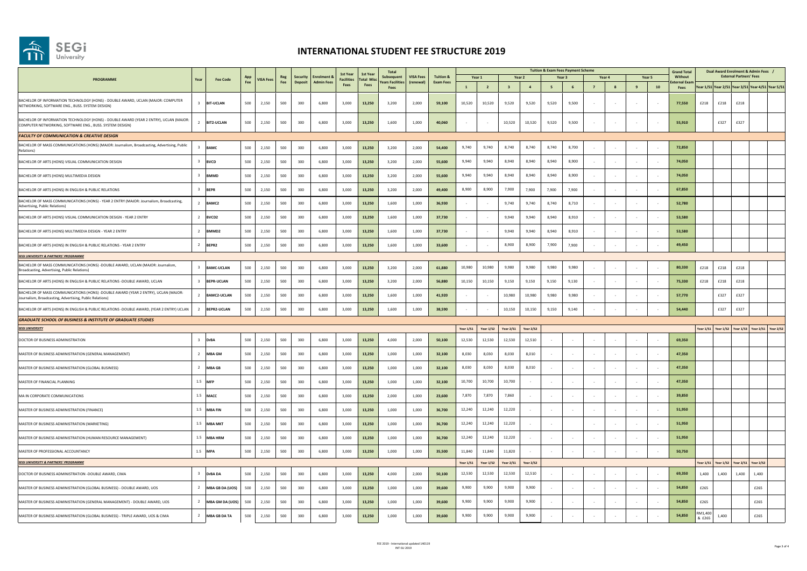

|                                                                                                                                                                      |                       |            | <b>VISA Fees</b> |            |                                  |                                | 1st Year<br><b>Facilities</b> | 1st Yea           | <b>Total</b>                  |                              |                                          |                  |                  |                  |                  |       | <b>Tuition &amp; Exam Fees Payment Scheme</b> |                |   |        |            | <b>Grand Total</b>      | Dual Award Enrolment & Admin Fees /     |       |                                |                                                   |  |  |
|----------------------------------------------------------------------------------------------------------------------------------------------------------------------|-----------------------|------------|------------------|------------|----------------------------------|--------------------------------|-------------------------------|-------------------|-------------------------------|------------------------------|------------------------------------------|------------------|------------------|------------------|------------------|-------|-----------------------------------------------|----------------|---|--------|------------|-------------------------|-----------------------------------------|-------|--------------------------------|---------------------------------------------------|--|--|
| PROGRAMME<br>Year                                                                                                                                                    | <b>Fee Code</b>       | App<br>Fee |                  | Reg<br>Fee | <b>Security</b><br><b>Deposi</b> | <b>Enrolment</b><br>Admin Fees |                               | <b>Total Misc</b> | Subsequent<br>ears Facilities | <b>VISA Fees</b><br>(renewal | <b>Tuition &amp;</b><br><b>Exam Fees</b> | Year 1           |                  |                  | Year 2           |       | Year 3                                        | Year 4         |   | Year 5 |            | Without<br>kternal Exan |                                         |       | <b>External Partners' Fees</b> |                                                   |  |  |
|                                                                                                                                                                      |                       |            |                  |            |                                  |                                | <b>Fees</b>                   | Fees              | Fees                          |                              |                                          | $\mathbf{1}$     | $\overline{2}$   |                  | $\overline{a}$   | 5     | 6                                             | $\overline{7}$ | 8 | 9      | ${\bf 10}$ | Fees                    |                                         |       |                                | Year 1/S1 Year 2/S1 Year 3/S1 Year 4/S1 Year 5/S1 |  |  |
| BACHELOR OF INFORMATION TECHNOLOGY (HONS) - DOUBLE AWARD, UCLAN (MAJOR: COMPUTER<br>$\overline{z}$<br>NETWORKING, SOFTWARE ENG., BUSS. SYSTEM DESIGN)                | <b>BIT-UCLAN</b>      | 500        | 2,150            | 500        | 300                              | 6,800                          | 3,000                         | 13,250            | 3,200                         | 2,000                        | 59,100                                   | 10.520           | 10.520           | 9.520            | 9,520            | 9,520 | 9.500                                         |                |   |        |            | 77.550                  | £218                                    | £218  | £218                           |                                                   |  |  |
| BACHELOR OF INFORMATION TECHNOLOGY (HONS) - DOUBLE AWARD (YEAR 2 ENTRY), UCLAN (MAJOR:<br>$\overline{2}$<br>COMPUTER NETWORKING, SOFTWARE ENG., BUSS. SYSTEM DESIGN) | <b>BIT2-UCLAN</b>     | 500        | 2,150            | 500        | 300                              | 6,800                          | 3,000                         | 13,250            | 1,600                         | 1,000                        | 40,060                                   | $\sim$           |                  | 10,520           | 10,520           | 9,520 | 9,500                                         |                |   |        |            | 55,910                  |                                         | £327  | £327                           |                                                   |  |  |
| <b>FACULTY OF COMMUNICATION &amp; CREATIVE DESIGN</b>                                                                                                                |                       |            |                  |            |                                  |                                |                               |                   |                               |                              |                                          |                  |                  |                  |                  |       |                                               |                |   |        |            |                         |                                         |       |                                |                                                   |  |  |
| BACHELOR OF MASS COMMUNICATIONS (HONS) (MAJOR: Journalism, Broadcasting, Advertising, Public<br>Relations)                                                           | <b>BAMC</b>           | 500        | 2,150            | 500        | 300                              | 6,800                          | 3,000                         | 13,250            | 3,200                         | 2,000                        | 54,400                                   | 9,740            | 9,740            | 8.740            | 8,740            | 8,740 | 8,700                                         |                |   |        |            | 72,850                  |                                         |       |                                |                                                   |  |  |
| BACHELOR OF ARTS (HONS) VISUAL COMMUNICATION DESIGN<br>$\overline{\mathbf{3}}$                                                                                       | <b>BVCD</b>           | 500        | 2,150            | 500        | 300                              | 6,800                          | 3,000                         | 13,250            | 3,200                         | 2,000                        | 55,600                                   | 9,940            | 9,940            | 8,940            | 8,940            | 8,940 | 8,900                                         |                |   |        |            | 74,050                  |                                         |       |                                |                                                   |  |  |
| $\overline{\mathbf{3}}$<br>BACHELOR OF ARTS (HONS) MULTIMEDIA DESIGN                                                                                                 | <b>BMMD</b>           | 500        | 2,150            | 500        | 300                              | 6,800                          | 3,000                         | 13,250            | 3,200                         | 2,000                        | 55,600                                   | 9,940            | 9,940            | 8,940            | 8,940            | 8,940 | 8,900                                         |                |   |        |            | 74,050                  |                                         |       |                                |                                                   |  |  |
| $\overline{\mathbf{3}}$<br>BACHELOR OF ARTS (HONS) IN ENGLISH & PUBLIC RELATIONS                                                                                     | <b>BEPR</b>           | 500        | 2.150            | 500        | 300                              | 6.800                          | 3.000                         | 13,250            | 3.200                         | 2.000                        | 49,400                                   | 8,900            | 8,900            | 7,900            | 7,900            | 7.900 | 7,900                                         |                |   |        |            | 67,850                  |                                         |       |                                |                                                   |  |  |
| BACHELOR OF MASS COMMUNICATIONS (HONS) - YEAR 2 ENTRY (MAJOR: Journalism, Broadcasting,<br>$\overline{2}$<br>Advertising, Public Relations)                          | BAMC2                 | 500        | 2.150            | 500        | 300                              | 6,800                          | 3,000                         | 13,250            | 1,600                         | 1,000                        | 36,930                                   |                  |                  | 9,740            | 9,740            | 8,740 | 8,710                                         |                |   |        |            | 52.780                  |                                         |       |                                |                                                   |  |  |
| $\overline{2}$<br>BACHELOR OF ARTS (HONS) VISUAL COMMUNICATION DESIGN - YEAR 2 ENTRY                                                                                 | BVCD <sub>2</sub>     | 500        | 2.150            | 500        | 300                              | 6.800                          | 3,000                         | 13,250            | 1.600                         | 1,000                        | 37.730                                   |                  |                  | 9,940            | 9,940            | 8,940 | 8,910                                         |                |   |        |            | 53,580                  |                                         |       |                                |                                                   |  |  |
| $\overline{2}$<br>BACHELOR OF ARTS (HONS) MULTIMEDIA DESIGN - YEAR 2 ENTRY                                                                                           | BMMD <sub>2</sub>     | 500        | 2,150            | 500        | 300                              | 6,800                          | 3,000                         | 13,250            | 1,600                         | 1,000                        | 37.730                                   |                  |                  | 9.940            | 9,940            | 8,940 | 8,910                                         |                |   |        |            | 53,580                  |                                         |       |                                |                                                   |  |  |
| $\overline{2}$<br>BACHELOR OF ARTS (HONS) IN ENGLISH & PUBLIC RELATIONS - YEAR 2 ENTRY                                                                               | BEPR2                 | 500        | 2,150            | 500        | 300                              | 6,800                          | 3,000                         | 13,250            | 1,600                         | 1,000                        | 33,600                                   |                  |                  | 8,900            | 8,900            | 7,900 | 7,900                                         |                |   |        |            | 49,450                  |                                         |       |                                |                                                   |  |  |
| <b>SEGI UNIVERSITY &amp; PARTNERS' PROGRAMME</b>                                                                                                                     |                       |            |                  |            |                                  |                                |                               |                   |                               |                              |                                          |                  |                  |                  |                  |       |                                               |                |   |        |            |                         |                                         |       |                                |                                                   |  |  |
| BACHELOR OF MASS COMMUNICATIONS (HONS) -DOUBLE AWARD, UCLAN (MAJOR: Journalism,<br>$\overline{\mathbf{3}}$<br>Broadcasting, Advertising, Public Relations)           | <b>BAMC-UCLAN</b>     | 500        | 2,150            | 500        | 300                              | 6,800                          | 3,000                         | 13,250            | 3,200                         | 2,000                        | 61,880                                   | 10,980           | 10,980           | 9,980            | 9,980            | 9,980 | 9,980                                         |                |   |        |            | 80,330                  | £218                                    | £218  | £218                           |                                                   |  |  |
| BACHELOR OF ARTS (HONS) IN ENGLISH & PUBLIC RELATIONS -DOUBLE AWARD, UCLAN<br>$\overline{\mathbf{3}}$                                                                | <b>BEPR-UCLAN</b>     | 500        | 2,150            | 500        | 300                              | 6,800                          | 3,000                         | 13,250            | 3,200                         | 2,000                        | 56,880                                   | 10,150           | 10,150           | 9,150            | 9,150            | 9,150 | 9,130                                         |                |   |        |            | 75,330                  | £218                                    | £218  | £218                           |                                                   |  |  |
| BACHELOR OF MASS COMMUNICATIONS (HONS) -DOUBLE AWARD (YEAR 2 ENTRY), UCLAN (MAJOR:<br>$\overline{2}$<br>Journalism, Broadcasting, Advertising, Public Relations)     | <b>BAMC2-UCLAN</b>    | 500        | 2,150            | 500        | 300                              | 6,800                          | 3,000                         | 13,250            | 1,600                         | 1,000                        | 41,920                                   |                  |                  | 10,980           | 10,980           | 9,980 | 9,980                                         |                |   |        |            | 57,770                  |                                         | £327  | £327                           |                                                   |  |  |
| $\overline{2}$<br>BACHELOR OF ARTS (HONS) IN ENGLISH & PUBLIC RELATIONS -DOUBLE AWARD, (YEAR 2 ENTRY) UCLAN                                                          | <b>BEPR2-UCLAN</b>    | 500        | 2.150            | 500        | 300                              | 6,800                          | 3.000                         | 13,250            | 1,600                         | 1.000                        | 38.590                                   |                  |                  | 10.150           | 10,150           | 9,150 | 9,140                                         |                |   |        |            | 54,440                  |                                         | £327  | £327                           |                                                   |  |  |
| <b>GRADUATE SCHOOL OF BUSINESS &amp; INSTITUTE OF GRADUATE STUDIES</b>                                                                                               |                       |            |                  |            |                                  |                                |                               |                   |                               |                              |                                          |                  |                  |                  |                  |       |                                               |                |   |        |            |                         |                                         |       |                                |                                                   |  |  |
| <b>SEGI UNIVERSITY</b>                                                                                                                                               |                       |            |                  |            |                                  |                                |                               |                   |                               |                              |                                          | <b>Year 1/51</b> | <b>Year 1/52</b> | <b>Year 2/51</b> | <b>Year 2/52</b> |       |                                               |                |   |        |            |                         |                                         |       |                                | Year 1/51 Year 1/52 Year 1/53 Year 2/51 Year 2/52 |  |  |
| $\overline{\mathbf{3}}$<br>DOCTOR OF BUSINESS ADMINISTRATION                                                                                                         | <b>DrBA</b>           | 500        | 2,150            | 500        | 300                              | 6.800                          | 3,000                         | 13,250            | 4.000                         | 2,000                        | 50,100                                   | 12,530           | 12,530           | 12,530           | 12,510           |       |                                               |                |   |        |            | 69,350                  |                                         |       |                                |                                                   |  |  |
| $\overline{2}$<br>MASTER OF BUSINESS ADMINISTRATION (GENERAL MANAGEMENT)                                                                                             | <b>MBA GM</b>         | 500        | 2,150            | 500        | 300                              | 6,800                          | 3,000                         | 13,250            | 1,000                         | 1,000                        | 32,100                                   | 8.030            | 8.030            | 8,030            | 8,010            |       |                                               |                |   |        |            | 47.350                  |                                         |       |                                |                                                   |  |  |
| MASTER OF BUSINESS ADMINISTRATION (GLOBAL BUSINESS)<br>$\overline{z}$                                                                                                | <b>MBA GB</b>         | 500        | 2.150            | 500        | 300                              | 6,800                          | 3,000                         | 13,250            | 1,000                         | 1,000                        | 32,100                                   | 8.030            | 8.030            | 8.030            | 8.010            |       |                                               |                |   |        |            | 47.350                  |                                         |       |                                |                                                   |  |  |
| MASTER OF FINANCIAL PLANNING<br>1.5                                                                                                                                  | MFP                   | 500        | 2,150            | 500        | 300                              | 6,800                          | 3,000                         | 13,250            | 1,000                         | 1,000                        | 32,100                                   | 10,700           | 10,700           | 10,700           |                  |       |                                               |                |   |        |            | 47,350                  |                                         |       |                                |                                                   |  |  |
| MA IN CORPORATE COMMUNICATIONS                                                                                                                                       | 1.5 MACC              | 500        | 2,150            | 500        | 300                              | 6,800                          | 3,000                         | 13,250            | 2,000                         | 1,000                        | 23,600                                   | 7,870            | 7,870            | 7,860            |                  |       |                                               |                |   |        |            | 39,850                  |                                         |       |                                |                                                   |  |  |
| MASTER OF BUSINESS ADMINISTRATION (FINANCE)                                                                                                                          | 1.5 MBA FIN           | 500        | 2,150            | 500        | 300                              | 6,800                          | 3,000                         | 13,250            | 1,000                         | 1,000                        | 36,700                                   | 12,240           | 12,240           | 12,220           |                  |       |                                               |                |   |        |            | 51,950                  |                                         |       |                                |                                                   |  |  |
| MASTER OF BUSINESS ADMINISTRATION (MARKETING)                                                                                                                        | 1.5<br><b>MBA MKT</b> | 500        | 2,150            | 500        | 300                              | 6,800                          | 3,000                         | 13,250            | 1,000                         | 1,000                        | 36,700                                   | 12,240           | 12,240           | 12,220           |                  |       |                                               |                |   |        |            | 51,950                  |                                         |       |                                |                                                   |  |  |
| MASTER OF BUSINESS ADMINISTRATION (HUMAN RESOURCE MANAGEMENT)                                                                                                        | 1.5 MBA HRM           | 500        | 2.150            | 500        | 300                              | 6.800                          | 3.000                         | 13,250            | 1.000                         | 1.000                        | 36,700                                   | 12,240           | 12,240           | 12,220           |                  |       |                                               |                |   |        |            | 51,950                  |                                         |       |                                |                                                   |  |  |
| MASTER OF PROFESSIONAL ACCOUNTANCY                                                                                                                                   | 1.5 MPA               | 500        | 2,150            | 500        | 300                              | 6,800                          | 3,000                         | 13,250            | 1,000                         | 1,000                        | 35,500                                   | 11,840           | 11,840           | 11,820           |                  |       |                                               |                |   |        |            | 50,750                  |                                         |       |                                |                                                   |  |  |
| <b>SEGI UNIVERSITY &amp; PARTNERS' PROGRAMME</b>                                                                                                                     |                       |            |                  |            |                                  |                                |                               |                   |                               |                              | <b>Year 1/51</b>                         | Year 1/S2        | Year 2/S1        | Year 2/52        |                  |       |                                               |                |   |        |            |                         | Year 1/51 Year 1/52 Year 2/51 Year 2/52 |       |                                |                                                   |  |  |
| $\overline{\mathbf{3}}$<br>DOCTOR OF BUSINESS ADMINISTRATION -DOUBLE AWARD, CIMA                                                                                     | <b>DrBADA</b>         | 500        | 2,150            | 500        | 300                              | 6,800                          | 3,000                         | 13,250            | 4.000                         | 2,000                        | 50,100                                   | 12,530           | 12,530           | 12,530           | 12,510           |       |                                               |                |   |        |            | 69,350                  | 1,400                                   | 1,400 | 1,400                          | 1,400                                             |  |  |
| MASTER OF BUSINESS ADMINISTRATION (GLOBAL BUSINESS) - DOUBLE AWARD, UOS<br>$\overline{2}$                                                                            | MBA GB DA (UOS)       | 500        | 2,150            | 500        | 300                              | 6,800                          | 3,000                         | 13,250            | 1,000                         | 1,000                        | 39,600                                   | 9,900            | 9,900            | 9,900            | 9,900            |       |                                               |                |   |        |            | 54,850                  | £265                                    |       |                                | £265                                              |  |  |
| MASTER OF BUSINESS ADMINISTRATION (GENERAL MANAGEMENT) - DOUBLE AWARD, UOS<br>$\overline{2}$                                                                         | MBA GM DA (UOS)       | 500        | 2,150            | 500        | 300                              | 6,800                          | 3,000                         | 13,250            | 1,000                         | 1,000                        | 39,600                                   | 9,900            | 9,900            | 9,900            | 9,900            |       |                                               |                |   |        |            | 54,850                  | £265                                    |       |                                | £265                                              |  |  |
| $\overline{2}$<br>MASTER OF BUSINESS ADMINISTRATION (GLOBAL BUSINESS) - TRIPLE AWARD, UOS & CIMA                                                                     | MBA GB DA TA          | 500        | 2,150            | 500        | 300                              | 6,800                          | 3,000                         | 13,250            | 1,000                         | 1,000                        | 39,600                                   | 9,900            | 9,900            | 9,900            | 9,900            |       |                                               |                |   |        |            | 54,850                  | RM1.400<br>& £265                       | 1,400 |                                | £265                                              |  |  |